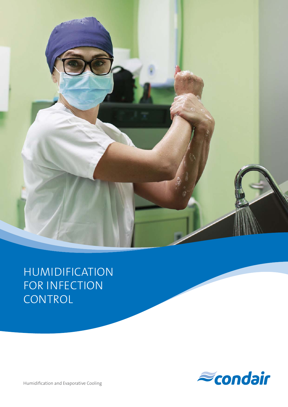

# HUMIDIFICATION FOR INFECTION CONTROL



Humidification and Evaporative Cooling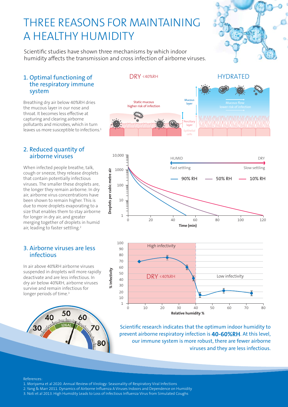## THREE REASONS FOR MAINTAINING A HEALTHY HUMIDITY

Scientific studies have shown three mechanisms by which indoor humidity affects the transmission and cross infection of airborne viruses.

### 1. Optimal functioning of the respiratory immune system

Breathing dry air below 40%RH dries the mucous layer in our nose and throat. It becomes less effective at capturing and clearing airborne pollutants and microbes, which in turn leaves us more susceptible to infections.<sup>1</sup>

### 2. Reduced quantity of airborne viruses

When infected people breathe, talk, cough or sneeze, they release droplets that contain potentially infectious viruses. The smaller these droplets are, the longer they remain airborne. In dry air, airborne virus concentrations have been shown to remain higher. This is due to more droplets evaporating to a size that enables them to stay airborne for longer in dry air, and greater merging together of droplets in humid air, leading to faster settling.<sup>2</sup>

### 3. Airborne viruses are less infectious

In air above 40%RH airborne viruses suspended in droplets will more rapidly deactivate and are less infectious. In dry air below 40%RH, airborne viruses survive and remain infectious for longer periods of time.<sup>3</sup>











Scientific research indicates that the optimum indoor humidity to prevent airborne respiratory infection is **40-60%RH**. At this level, our immune system is more robust, there are fewer airborne viruses and they are less infectious.

#### References:

- 1. Moriyama et al 2020. Annual Review of Virology: Seasonality of Respiratory Viral Infections
- 2. Yang & Marr 2011. Dynamics of Airborne Influenza A Viruses Indoors and Dependence on Humidity

**% Infectivity**

% Infectivity

3. Noti et al 2013. High Humidity Leads to Loss of Infectious Influenza Virus from Simulated Coughs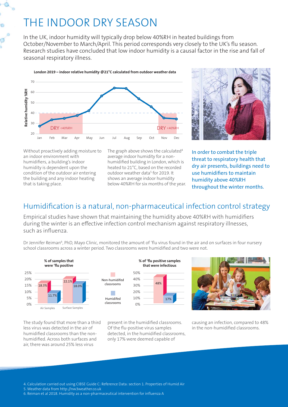# THE INDOOR DRY SEASON

In the UK, indoor humidity will typically drop below 40%RH in heated buildings from October/November to March/April. This period corresponds very closely to the UK's flu season. Research studies have concluded that low indoor humidity is a causal factor in the rise and fall of seasonal respiratory illness.





Without proactively adding moisture to an indoor environment with humidifiers, a building's indoor humidity is dependent upon the condition of the outdoor air entering the building and any indoor heating that is taking place.

The graph above shows the calculated<sup>4</sup> average indoor humidity for a nonhumidified building in London, which is heated to 21°C, based on the recorded outdoor weather data<sup>5</sup> for 2019. It shows an average indoor humidity below 40%RH for six months of the year.

In order to combat the triple threat to respiratory health that dry air presents, buildings need to use humidifiers to maintain humidity above 40%RH throughout the winter months.

### Humidification is a natural, non-pharmaceutical infection control strategy

Empirical studies have shown that maintaining the humidity above 40%RH with humidifiers during the winter is an effective infection control mechanism against respiratory illnesses, such as influenza.

Dr Jennifer Reiman<sup>6</sup>, PhD, Mayo Clinic, monitored the amount of 'flu virus found in the air and on surfaces in four nursery school classrooms across a winter period. Two classrooms were humidified and two were not.



50% 40% 30% 20%  $0%$ **% of 'flu positive samples that were infectious** Non-humidifed classrooms Humidifed classrooms 17%



The study found that more than a third less virus was detected in the air of humidified classrooms than the nonhumidified. Across both surfaces and air, there was around 25% less virus

present in the humidified classrooms. Of the flu-positive virus samples detected, in the humidified classrooms, only 17% were deemed capable of

causing an infection, compared to 48% in the non-humidified classrooms.

4. Calculation carried out using CIBSE Guide C: Reference Data: section 1. Properties of Humid Air

5. Weather data from http://nw3weather.co.uk

6. Reiman et al 2018. Humidity as a non-pharmaceutical intervention for influenza A